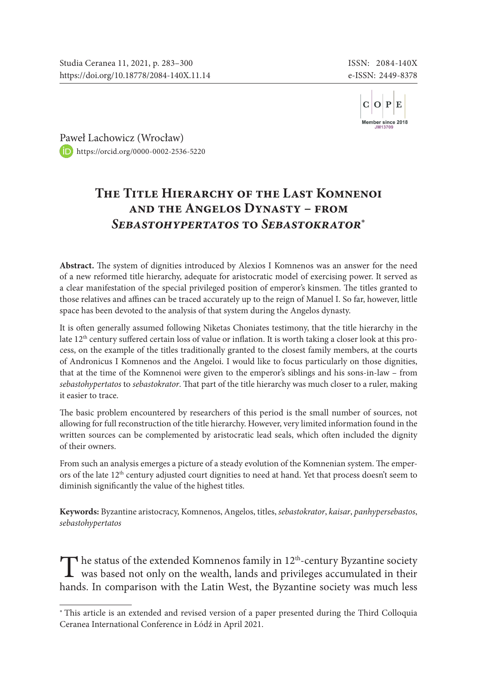

[Paw](https://orcid.org/0000-0002-2536-5220)eł Lachowicz (Wrocław) <https://orcid.org/0000-0002-2536-5220>

# **The Title Hierarchy of the Last Komnenoi and the Angelos Dynasty – from** *Sebastohypertatos* **to** *Sebastokrator*\*

**Abstract.** The system of dignities introduced by Alexios I Komnenos was an answer for the need of a new reformed title hierarchy, adequate for aristocratic model of exercising power. It served as a clear manifestation of the special privileged position of emperor's kinsmen. The titles granted to those relatives and affines can be traced accurately up to the reign of Manuel I. So far, however, little space has been devoted to the analysis of that system during the Angelos dynasty.

It is often generally assumed following Niketas Choniates testimony, that the title hierarchy in the late  $12<sup>th</sup>$  century suffered certain loss of value or inflation. It is worth taking a closer look at this process, on the example of the titles traditionally granted to the closest family members, at the courts of Andronicus I Komnenos and the Angeloi. I would like to focus particularly on those dignities, that at the time of the Komnenoi were given to the emperor's siblings and his sons-in-law – from *sebastohypertatos* to *sebastokrator*. That part of the title hierarchy was much closer to a ruler, making it easier to trace.

The basic problem encountered by researchers of this period is the small number of sources, not allowing for full reconstruction of the title hierarchy. However, very limited information found in the written sources can be complemented by aristocratic lead seals, which often included the dignity of their owners.

From such an analysis emerges a picture of a steady evolution of the Komnenian system. The emperors of the late 12<sup>th</sup> century adjusted court dignities to need at hand. Yet that process doesn't seem to diminish significantly the value of the highest titles.

**Keywords:** Byzantine aristocracy, Komnenos, Angelos, titles, *sebastokrator*, *kaisar*, *panhypersebastos*, *sebastohypertatos*

 $\blacksquare$  he status of the extended Komnenos family in 12<sup>th</sup>-century Byzantine society  $\perp$  was based not only on the wealth, lands and privileges accumulated in their hands. In comparison with the Latin West, the Byzantine society was much less

<sup>∗</sup> This article is an extended and revised version of a paper presented during the Third Colloquia Ceranea International Conference in Łódź in April 2021.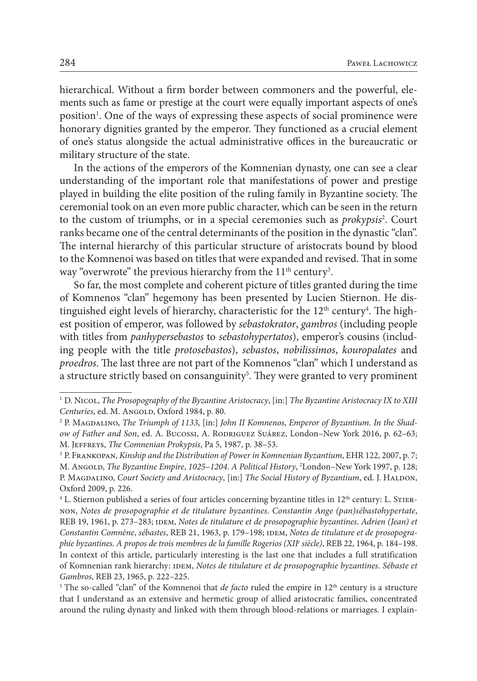hierarchical. Without a firm border between commoners and the powerful, elements such as fame or prestige at the court were equally important aspects of one's position<sup>1</sup>. One of the ways of expressing these aspects of social prominence were honorary dignities granted by the emperor. They functioned as a crucial element of one's status alongside the actual administrative offices in the bureaucratic or military structure of the state.

In the actions of the emperors of the Komnenian dynasty, one can see a clear understanding of the important role that manifestations of power and prestige played in building the elite position of the ruling family in Byzantine society. The ceremonial took on an even more public character, which can be seen in the return to the custom of triumphs, or in a special ceremonies such as *prokypsis*<sup>2</sup>. Court ranks became one of the central determinants of the position in the dynastic "clan". The internal hierarchy of this particular structure of aristocrats bound by blood to the Komnenoi was based on titles that were expanded and revised. That in some way "overwrote" the previous hierarchy from the  $11^{\rm th}$  century<sup>3</sup>.

So far, the most complete and coherent picture of titles granted during the time of Komnenos "clan" hegemony has been presented by Lucien Stiernon. He distinguished eight levels of hierarchy, characteristic for the  $12^{\text{th}}$  century<sup>4</sup>. The highest position of emperor, was followed by *sebastokrator*, *gambros* (including people with titles from *panhypersebastos* to *sebastohypertatos*), emperor's cousins (including people with the title *protosebastos*), *sebastos*, *nobilissimos*, *kouropalates* and *proedros*. The last three are not part of the Komnenos "clan" which I understand as a structure strictly based on consanguinity<sup>5</sup>. They were granted to very prominent

<sup>1</sup> D. Nicol, *The Prosopography of the Byzantine Aristocracy*, [in:] *The Byzantine Aristocracy IX to XIII Centuries*, ed. M. Angold, Oxford 1984, p. 80.

<sup>2</sup> P. Magdalino, *The Triumph of 1133*, [in:] *John II Komnenos*, *Emperor of Byzantium*. *In the Shadow of Father and Son*, ed. A. Bucossi, A. Rodriguez Suárez, London–New York 2016, p. 62–63; M. Jeffreys, *The Comnenian Prokypsis*, Pa 5, 1987, p. 38–53.

<sup>3</sup> P. Frankopan, *Kinship and the Distribution of Power in Komnenian Byzantium*, EHR 122, 2007, p. 7; M. Angold, *The Byzantine Empire*, *1025*–*1204*. *A Political History*, 2 London–New York 1997, p. 128; P. Magdalino, *Court Society and Aristocracy*, [in:] *The Social History of Byzantium*, ed. J. Haldon, Oxford 2009, p. 226.

 $4$  L. Stiernon published a series of four articles concerning byzantine titles in  $12<sup>th</sup>$  century: L. STIERnon, *Notes de prosopographie et de titulature byzantines*. *Constantin Ange (pan)sébastohypertate*, REB 19, 1961, p. 273-283; IDEM, *Notes de titulature et de prosopographie byzantines*. Adrien (Jean) et Constantin Comnène, sébastes, REB 21, 1963, p. 179-198; IDEM, *Notes de titulature et de prosopographie byzantines*. *A propos de trois membres de la famille Rogerios (XIIe siècle)*, REB 22, 1964, p. 184–198. In context of this article, particularly interesting is the last one that includes a full stratification of Komnenian rank hierarchy: IDEM, *Notes de titulature et de prosopographie byzantines*. Sébaste et *Gambros*, REB 23, 1965, p. 222–225.

<sup>&</sup>lt;sup>5</sup> The so-called "clan" of the Komnenoi that *de facto* ruled the empire in 12<sup>th</sup> century is a structure that I understand as an extensive and hermetic group of allied aristocratic families, concentrated around the ruling dynasty and linked with them through blood-relations or marriages. I explain-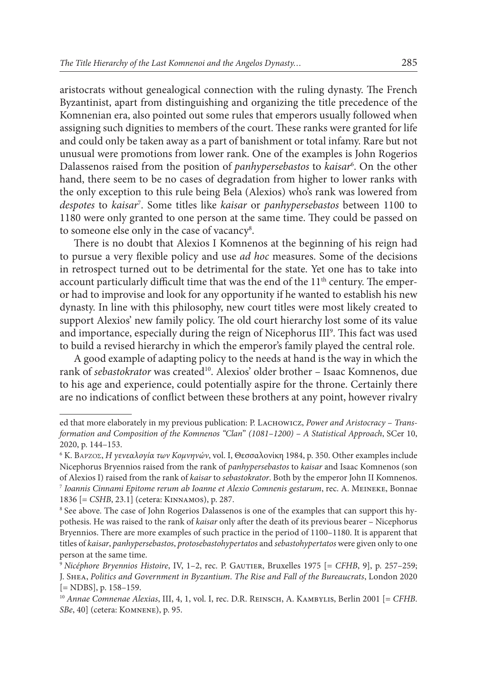aristocrats without genealogical connection with the ruling dynasty. The French Byzantinist, apart from distinguishing and organizing the title precedence of the Komnenian era, also pointed out some rules that emperors usually followed when assigning such dignities to members of the court. These ranks were granted for life and could only be taken away as a part of banishment or total infamy. Rare but not unusual were promotions from lower rank. One of the examples is John Rogerios Dalassenos raised from the position of *panhypersebastos* to *kaisar*<sup>6</sup> . On the other hand, there seem to be no cases of degradation from higher to lower ranks with the only exception to this rule being Bela (Alexios) who's rank was lowered from *despotes* to *kaisar*<sup>7</sup> . Some titles like *kaisar* or *panhypersebastos* between 1100 to 1180 were only granted to one person at the same time. They could be passed on to someone else only in the case of vacancy<sup>8</sup>.

There is no doubt that Alexios I Komnenos at the beginning of his reign had to pursue a very flexible policy and use *ad hoc* measures. Some of the decisions in retrospect turned out to be detrimental for the state. Yet one has to take into account particularly difficult time that was the end of the  $11<sup>th</sup>$  century. The emperor had to improvise and look for any opportunity if he wanted to establish his new dynasty. In line with this philosophy, new court titles were most likely created to support Alexios' new family policy. The old court hierarchy lost some of its value and importance, especially during the reign of Nicephorus III<sup>9</sup>. This fact was used to build a revised hierarchy in which the emperor's family played the central role.

A good example of adapting policy to the needs at hand is the way in which the rank of *sebastokrator* was created<sup>10</sup>. Alexios' older brother - Isaac Komnenos, due to his age and experience, could potentially aspire for the throne. Certainly there are no indications of conflict between these brothers at any point, however rivalry

ed that more elaborately in my previous publication: P. Lachowicz, *Power and Aristocracy* – *Transformation and Composition of the Komnenos "Clan*" *(1081*–*1200)* – *A Statistical Approach*, SCer 10, 2020, p. 144–153.

<sup>6</sup> K. Βάρζος, *Η γενεαλογία των Κομνηνών*, vol. I, Θεσσαλονίκη 1984, p. 350. Other examples include Nicephorus Bryennios raised from the rank of *panhypersebastos* to *kaisar* and Isaac Komnenos (son of Alexios I) raised from the rank of *kaisar* to *sebastokrator*. Both by the emperor John II Komnenos. <sup>7</sup> *Ioannis Cinnami Epitome rerum ab Ioanne et Alexio Comnenis gestarum*, rec. A. Meineke, Bonnae 1836 [= *CSHB*, 23.1] (cetera: Kinnamos), p. 287.

<sup>8</sup> See above. The case of John Rogerios Dalassenos is one of the examples that can support this hypothesis. He was raised to the rank of *kaisar* only after the death of its previous bearer – Nicephorus Bryennios. There are more examples of such practice in the period of 1100–1180. It is apparent that titles of *kaisar*, *panhypersebastos*, *protosebastohypertatos* and *sebastohypertatos* were given only to one person at the same time.

<sup>9</sup> *Nicéphore Bryennios Histoire*, IV, 1–2, rec. P. Gautier, Bruxelles 1975 [= *CFHB*, 9], p. 257–259; J. Shea, *Politics and Government in Byzantium*. *The Rise and Fall of the Bureaucrats*, London 2020 [= NDBS], p. 158–159.

<sup>10</sup> *Annae Comnenae Alexias*, III, 4, 1, vol. I, rec. D.R. Reinsch, A. Kambylis, Berlin 2001 [= *CFHB*. *SBe*, 40] (cetera: Komnene), p. 95.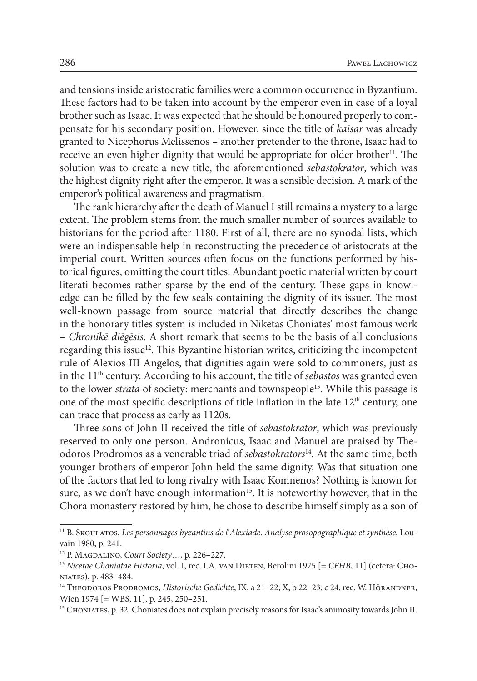and tensions inside aristocratic families were a common occurrence in Byzantium. These factors had to be taken into account by the emperor even in case of a loyal brother such as Isaac. It was expected that he should be honoured properly to compensate for his secondary position. However, since the title of *kaisar* was already granted to Nicephorus Melissenos – another pretender to the throne, Isaac had to receive an even higher dignity that would be appropriate for older brother $11$ . The solution was to create a new title, the aforementioned *sebastokrator*, which was the highest dignity right after the emperor. It was a sensible decision. A mark of the emperor's political awareness and pragmatism.

The rank hierarchy after the death of Manuel I still remains a mystery to a large extent. The problem stems from the much smaller number of sources available to historians for the period after 1180. First of all, there are no synodal lists, which were an indispensable help in reconstructing the precedence of aristocrats at the imperial court. Written sources often focus on the functions performed by historical figures, omitting the court titles. Abundant poetic material written by court literati becomes rather sparse by the end of the century. These gaps in knowledge can be filled by the few seals containing the dignity of its issuer. The most well-known passage from source material that directly describes the change in the honorary titles system is included in Niketas Choniates' most famous work – *Chronikē diēgēsis*. A short remark that seems to be the basis of all conclusions regarding this issue<sup>12</sup>. This Byzantine historian writes, criticizing the incompetent rule of Alexios III Angelos, that dignities again were sold to commoners, just as in the 11th century. According to his account, the title of *sebastos* was granted even to the lower *strata* of society: merchants and townspeople<sup>13</sup>. While this passage is one of the most specific descriptions of title inflation in the late  $12<sup>th</sup>$  century, one can trace that process as early as 1120s.

Three sons of John II received the title of *sebastokrator*, which was previously reserved to only one person. Andronicus, Isaac and Manuel are praised by Theodoros Prodromos as a venerable triad of *sebastokrators*14. At the same time, both younger brothers of emperor John held the same dignity. Was that situation one of the factors that led to long rivalry with Isaac Komnenos? Nothing is known for sure, as we don't have enough information<sup>15</sup>. It is noteworthy however, that in the Chora monastery restored by him, he chose to describe himself simply as a son of

<sup>11</sup> B. Skoulatos, *Les personnages byzantins de l*'*Alexiade*. *Analyse prosopographique et synthèse*, Louvain 1980, p. 241.

<sup>12</sup> P. Magdalino, *Court Society*…, p. 226–227.

<sup>13</sup> *Nicetae Choniatae Historia*, vol. I, rec. I.A. van Dieten, Berolini 1975 [= *CFHB*, 11] (cetera: Choniates), p. 483–484.

<sup>&</sup>lt;sup>14</sup> THEODOROS PRODROMOS, *Historische Gedichte*, IX, a 21-22; X, b 22-23; c 24, rec. W. HÖRANDNER, Wien 1974 [= WBS, 11], p. 245, 250-251.

<sup>15</sup> Choniates, p. 32. Choniates does not explain precisely reasons for Isaac's animosity towards John II.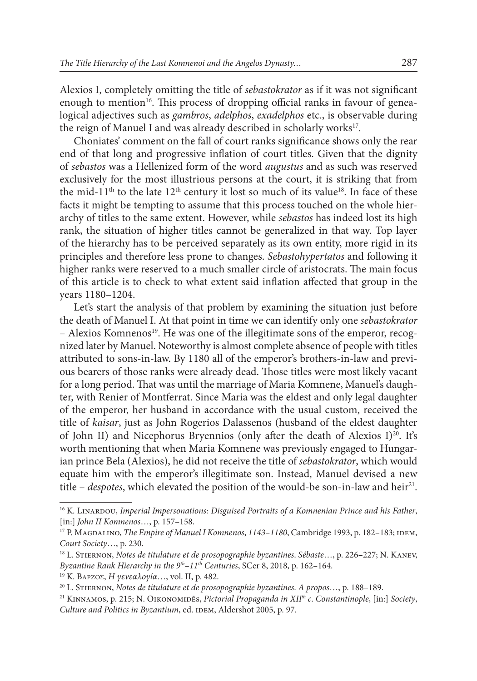Alexios I, completely omitting the title of *sebastokrator* as if it was not significant enough to mention<sup>16</sup>. This process of dropping official ranks in favour of genealogical adjectives such as *gambros*, *adelphos*, *exadelphos* etc., is observable during the reign of Manuel I and was already described in scholarly works<sup>17</sup>.

Choniates' comment on the fall of court ranks significance shows only the rear end of that long and progressive inflation of court titles. Given that the dignity of *sebastos* was a Hellenized form of the word *augustus* and as such was reserved exclusively for the most illustrious persons at the court, it is striking that from the mid-11<sup>th</sup> to the late 12<sup>th</sup> century it lost so much of its value<sup>18</sup>. In face of these facts it might be tempting to assume that this process touched on the whole hierarchy of titles to the same extent. However, while *sebastos* has indeed lost its high rank, the situation of higher titles cannot be generalized in that way. Top layer of the hierarchy has to be perceived separately as its own entity, more rigid in its principles and therefore less prone to changes. *Sebastohypertatos* and following it higher ranks were reserved to a much smaller circle of aristocrats. The main focus of this article is to check to what extent said inflation affected that group in the years 1180–1204.

Let's start the analysis of that problem by examining the situation just before the death of Manuel I. At that point in time we can identify only one *sebastokrator*  $-$  Alexios Komnenos<sup>19</sup>. He was one of the illegitimate sons of the emperor, recognized later by Manuel. Noteworthy is almost complete absence of people with titles attributed to sons-in-law. By 1180 all of the emperor's brothers-in-law and previous bearers of those ranks were already dead. Those titles were most likely vacant for a long period. That was until the marriage of Maria Komnene, Manuel's daughter, with Renier of Montferrat. Since Maria was the eldest and only legal daughter of the emperor, her husband in accordance with the usual custom, received the title of *kaisar*, just as John Rogerios Dalassenos (husband of the eldest daughter of John II) and Nicephorus Bryennios (only after the death of Alexios  $I)^{20}$ . It's worth mentioning that when Maria Komnene was previously engaged to Hungarian prince Bela (Alexios), he did not receive the title of *sebastokrator*, which would equate him with the emperor's illegitimate son. Instead, Manuel devised a new title  $-$  *despotes*, which elevated the position of the would-be son-in-law and heir<sup>21</sup>.

<sup>&</sup>lt;sup>16</sup> K. LINARDOU, *Imperial Impersonations: Disguised Portraits of a Komnenian Prince and his Father*, [in:] *John II Komnenos*…, p. 157–158.

<sup>17</sup> P. Magdalino, *The Empire of Manuel I Komnenos*, *1143*–*1180*, Cambridge 1993, p. 182–183; idem, *Court Society*…, p. 230.

<sup>18</sup> L. Stiernon, *Notes de titulature et de prosopographie byzantines*. *Sébaste*…, p. 226–227; N. Kanev, *Byzantine Rank Hierarchy in the 9th*–*11th Centuries*, SCer 8, 2018, p. 162–164.

<sup>19</sup> K. Βάρζος, *Η γενεαλογία*…, vol. II, p. 482.

<sup>20</sup> L. Stiernon, *Notes de titulature et de prosopographie byzantines*. *A propos*…, p. 188–189.

<sup>21</sup> Kinnamos, p. 215; N. Oikonomidēs, *Pictorial Propaganda in XIIth c*. *Constantinople*, [in:] *Society*, Culture and Politics in Byzantium, ed. IDEM, Aldershot 2005, p. 97.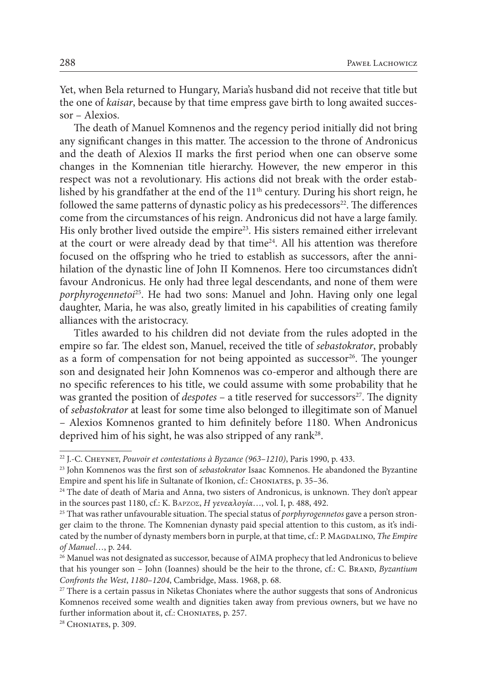Yet, when Bela returned to Hungary, Maria's husband did not receive that title but the one of *kaisar*, because by that time empress gave birth to long awaited successor – Alexios.

The death of Manuel Komnenos and the regency period initially did not bring any significant changes in this matter. The accession to the throne of Andronicus and the death of Alexios II marks the first period when one can observe some changes in the Komnenian title hierarchy. However, the new emperor in this respect was not a revolutionary. His actions did not break with the order established by his grandfather at the end of the  $11<sup>th</sup>$  century. During his short reign, he followed the same patterns of dynastic policy as his predecessors $2^2$ . The differences come from the circumstances of his reign. Andronicus did not have a large family. His only brother lived outside the empire<sup>23</sup>. His sisters remained either irrelevant at the court or were already dead by that time $24$ . All his attention was therefore focused on the offspring who he tried to establish as successors, after the annihilation of the dynastic line of John II Komnenos. Here too circumstances didn't favour Andronicus. He only had three legal descendants, and none of them were *porphyrogennetoi*25. He had two sons: Manuel and John. Having only one legal daughter, Maria, he was also, greatly limited in his capabilities of creating family alliances with the aristocracy.

Titles awarded to his children did not deviate from the rules adopted in the empire so far. The eldest son, Manuel, received the title of *sebastokrator*, probably as a form of compensation for not being appointed as successor<sup>26</sup>. The younger son and designated heir John Komnenos was co-emperor and although there are no specific references to his title, we could assume with some probability that he was granted the position of *despotes* – a title reserved for successors<sup>27</sup>. The dignity of *sebastokrator* at least for some time also belonged to illegitimate son of Manuel – Alexios Komnenos granted to him definitely before 1180. When Andronicus deprived him of his sight, he was also stripped of any rank<sup>28</sup>.

<sup>22</sup> J.-C. Cheynet, *Pouvoir et contestations à Byzance (963*–*1210)*, Paris 1990, p. 433.

<sup>23</sup> John Komnenos was the first son of *sebastokrator* Isaac Komnenos. He abandoned the Byzantine Empire and spent his life in Sultanate of Ikonion, cf.: CHONIATES, p. 35–36.

<sup>&</sup>lt;sup>24</sup> The date of death of Maria and Anna, two sisters of Andronicus, is unknown. They don't appear in the sources past 1180, cf.: K. Βάρζος, *Η γενεαλογία*…, vol. I, p. 488, 492.

<sup>25</sup> That was rather unfavourable situation. The special status of *porphyrogennetos* gave a person stronger claim to the throne. The Komnenian dynasty paid special attention to this custom, as it's indicated by the number of dynasty members born in purple, at that time, cf.: P. MAGDALINO, *The Empire of Manuel*…, p. 244.

<sup>&</sup>lt;sup>26</sup> Manuel was not designated as successor, because of AIMA prophecy that led Andronicus to believe that his younger son – John (Ioannes) should be the heir to the throne, cf.: C. BRAND, *Byzantium Confronts the West*, *1180*–*1204*, Cambridge, Mass. 1968, p. 68.

<sup>&</sup>lt;sup>27</sup> There is a certain passus in Niketas Choniates where the author suggests that sons of Andronicus Komnenos received some wealth and dignities taken away from previous owners, but we have no further information about it, cf.: CHONIATES, p. 257.

<sup>&</sup>lt;sup>28</sup> CHONIATES, p. 309.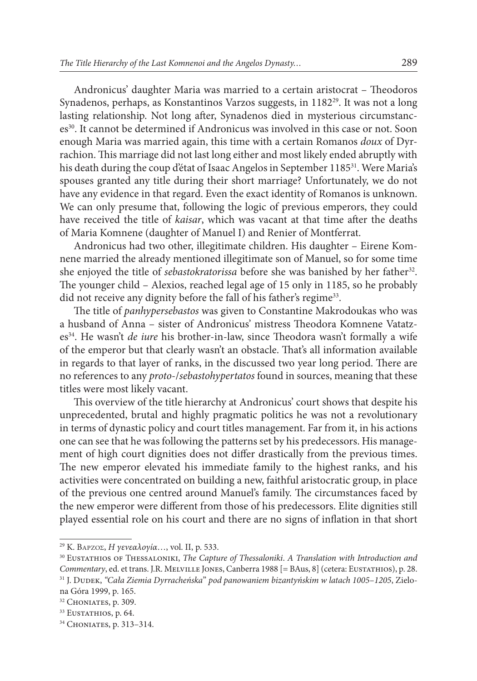Andronicus' daughter Maria was married to a certain aristocrat – Theodoros Synadenos, perhaps, as Konstantinos Varzos suggests, in 118229. It was not a long lasting relationship. Not long after, Synadenos died in mysterious circumstances30. It cannot be determined if Andronicus was involved in this case or not. Soon enough Maria was married again, this time with a certain Romanos *doux* of Dyrrachion. This marriage did not last long either and most likely ended abruptly with his death during the coup d'état of Isaac Angelos in September 1185<sup>31</sup>. Were Maria's spouses granted any title during their short marriage? Unfortunately, we do not have any evidence in that regard. Even the exact identity of Romanos is unknown. We can only presume that, following the logic of previous emperors, they could have received the title of *kaisar*, which was vacant at that time after the deaths of Maria Komnene (daughter of Manuel I) and Renier of Montferrat.

Andronicus had two other, illegitimate children. His daughter – Eirene Komnene married the already mentioned illegitimate son of Manuel, so for some time she enjoyed the title of *sebastokratorissa* before she was banished by her father<sup>32</sup>. The younger child – Alexios, reached legal age of 15 only in 1185, so he probably did not receive any dignity before the fall of his father's regime<sup>33</sup>.

The title of *panhypersebastos* was given to Constantine Makrodoukas who was a husband of Anna – sister of Andronicus' mistress Theodora Komnene Vatatzes34. He wasn't *de iure* his brother-in-law, since Theodora wasn't formally a wife of the emperor but that clearly wasn't an obstacle. That's all information available in regards to that layer of ranks, in the discussed two year long period. There are no references to any *proto*-/*sebastohypertatos* found in sources, meaning that these titles were most likely vacant.

This overview of the title hierarchy at Andronicus' court shows that despite his unprecedented, brutal and highly pragmatic politics he was not a revolutionary in terms of dynastic policy and court titles management. Far from it, in his actions one can see that he was following the patterns set by his predecessors. His management of high court dignities does not differ drastically from the previous times. The new emperor elevated his immediate family to the highest ranks, and his activities were concentrated on building a new, faithful aristocratic group, in place of the previous one centred around Manuel's family. The circumstances faced by the new emperor were different from those of his predecessors. Elite dignities still played essential role on his court and there are no signs of inflation in that short

<sup>29</sup> K. Βάρζος, *Η γενεαλογία*…, vol. II, p. 533.

<sup>30</sup> Eustathios of Thessaloniki, *The Capture of Thessaloniki*. *A Translation with Introduction and Commentary*, ed. et trans. J.R. Melville Jones, Canberra 1988 [= BAus, 8] (cetera: Eustathios), p. 28. <sup>31</sup> J. Dudek, *"Cała Ziemia Dyrracheńska*" *pod panowaniem bizantyńskim w latach 1005*–*1205*, Zielona Góra 1999, p. 165.

<sup>&</sup>lt;sup>32</sup> CHONIATES, p. 309.

<sup>&</sup>lt;sup>33</sup> EUSTATHIOS, p. 64.

<sup>34</sup> Choniates, p. 313–314.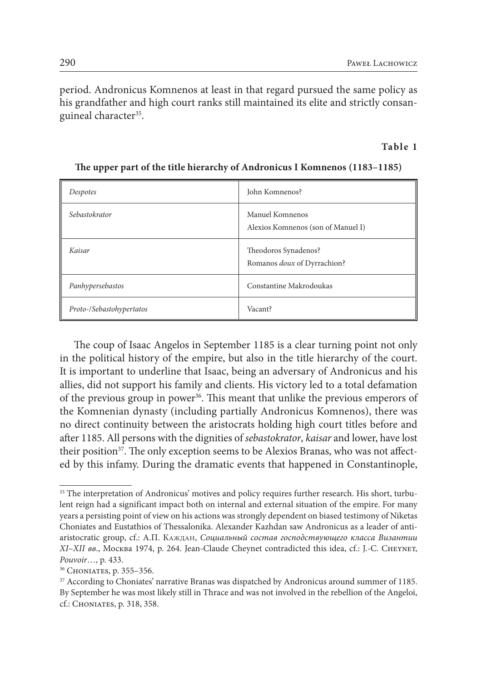period. Andronicus Komnenos at least in that regard pursued the same policy as his grandfather and high court ranks still maintained its elite and strictly consanguineal character<sup>35</sup>.

# **Table 1**

| Despotes                 | John Komnenos?                                        |
|--------------------------|-------------------------------------------------------|
| Sebastokrator            | Manuel Komnenos<br>Alexios Komnenos (son of Manuel I) |
| Kaisar                   | Theodoros Synadenos?<br>Romanos doux of Dyrrachion?   |
| Panhypersebastos         | Constantine Makrodoukas                               |
| Proto-/Sebastohypertatos | Vacant?                                               |

# **The upper part of the title hierarchy of Andronicus I Komnenos (1183–1185)**

The coup of Isaac Angelos in September 1185 is a clear turning point not only in the political history of the empire, but also in the title hierarchy of the court. It is important to underline that Isaac, being an adversary of Andronicus and his allies, did not support his family and clients. His victory led to a total defamation of the previous group in power<sup>36</sup>. This meant that unlike the previous emperors of the Komnenian dynasty (including partially Andronicus Komnenos), there was no direct continuity between the aristocrats holding high court titles before and after 1185. All persons with the dignities of *sebastokrator*, *kaisar* and lower, have lost their position<sup>37</sup>. The only exception seems to be Alexios Branas, who was not affected by this infamy. During the dramatic events that happened in Constantinople,

<sup>&</sup>lt;sup>35</sup> The interpretation of Andronicus' motives and policy requires further research. His short, turbulent reign had a significant impact both on internal and external situation of the empire. For many years a persisting point of view on his actions was strongly dependent on biased testimony of Niketas Choniates and Eustathios of Thessalonika. Alexander Kazhdan saw Andronicus as a leader of antiaristocratic group, cf.: А.П. Каждан, *Социальный состав господствующего класса Византии XI*–*XII вв*., Москва 1974, p. 264. Jean-Claude Cheynet contradicted this idea, cf.: J.-C. Cheynet, *Pouvoir*…, p. 433.

<sup>36</sup> Choniates, p. 355–356.

<sup>&</sup>lt;sup>37</sup> According to Choniates' narrative Branas was dispatched by Andronicus around summer of 1185. By September he was most likely still in Thrace and was not involved in the rebellion of the Angeloi, cf.: Choniates, p. 318, 358.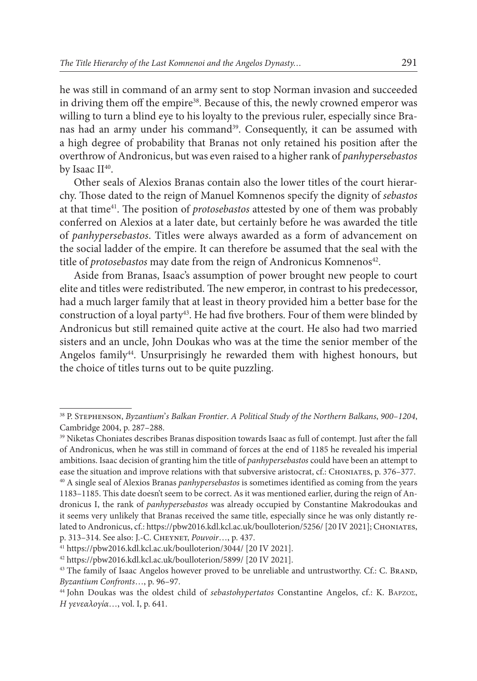he was still in command of an army sent to stop Norman invasion and succeeded in driving them off the empire<sup>38</sup>. Because of this, the newly crowned emperor was willing to turn a blind eye to his loyalty to the previous ruler, especially since Branas had an army under his command<sup>39</sup>. Consequently, it can be assumed with a high degree of probability that Branas not only retained his position after the overthrow of Andronicus, but was even raised to a higher rank of *panhypersebastos* by Isaac II<sup>40</sup>.

Other seals of Alexios Branas contain also the lower titles of the court hierarchy. Those dated to the reign of Manuel Komnenos specify the dignity of *sebastos* at that time41. The position of *protosebastos* attested by one of them was probably conferred on Alexios at a later date, but certainly before he was awarded the title of *panhypersebastos*. Titles were always awarded as a form of advancement on the social ladder of the empire. It can therefore be assumed that the seal with the title of *protosebastos* may date from the reign of Andronicus Komnenos<sup>42</sup>.

Aside from Branas, Isaac's assumption of power brought new people to court elite and titles were redistributed. The new emperor, in contrast to his predecessor, had a much larger family that at least in theory provided him a better base for the construction of a loyal party<sup>43</sup>. He had five brothers. Four of them were blinded by Andronicus but still remained quite active at the court. He also had two married sisters and an uncle, John Doukas who was at the time the senior member of the Angelos family<sup>44</sup>. Unsurprisingly he rewarded them with highest honours, but the choice of titles turns out to be quite puzzling.

<sup>41</sup> <https://pbw2016.kdl.kcl.ac.uk/boulloterion/3044/> [20 IV 2021].

<sup>38</sup> P. Stephenson, *Byzantium*'*s Balkan Frontier*. *A Political Study of the Northern Balkans*, *900*–*1204*, Cambridge 2004, p. 287–288.

<sup>39</sup> Niketas Choniates describes Branas disposition towards Isaac as full of contempt. Just after the fall of Andronicus, when he was still in command of forces at the end of 1185 he revealed his imperial ambitions. Isaac decision of granting him the title of *panhypersebastos* could have been an attempt to ease the situation and improve relations with that subversive aristocrat, cf.: CHONIATES, p. 376–377.

<sup>40</sup> A single seal of Alexios Branas *panhypersebastos* is sometimes identified as coming from the years 1183–1185. This date doesn't seem to be correct. As it was mentioned earlier, during the reign of Andronicus I, the rank of *panhypersebastos* was already occupied by Constantine Makrodoukas and it seems very unlikely that Branas received the same title, especially since he was only distantly related to Andronicus, cf.:<https://pbw2016.kdl.kcl.ac.uk/boulloterion/5256/>[20 IV 2021]; CHONIATES, p. 313–314. See also: J.-C. Cheynet, *Pouvoir*…, p. 437.

<sup>42</sup> <https://pbw2016.kdl.kcl.ac.uk/boulloterion/5899/> [20 IV 2021].

<sup>&</sup>lt;sup>43</sup> The family of Isaac Angelos however proved to be unreliable and untrustworthy. Cf.: C. BRAND, *Byzantium Confronts*…, p. 96–97.

<sup>44</sup> John Doukas was the oldest child of *sebastohypertatos* Constantine Angelos, cf.: K. Βάρζος, *Η γενεαλογία*…, vol. I, p. 641.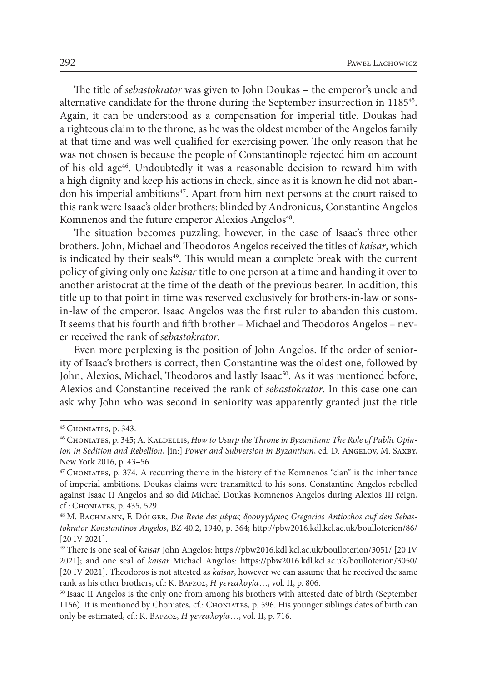The title of *sebastokrator* was given to John Doukas – the emperor's uncle and alternative candidate for the throne during the September insurrection in 118545. Again, it can be understood as a compensation for imperial title. Doukas had a righteous claim to the throne, as he was the oldest member of the Angelos family at that time and was well qualified for exercising power. The only reason that he was not chosen is because the people of Constantinople rejected him on account of his old age<sup>46</sup>. Undoubtedly it was a reasonable decision to reward him with a high dignity and keep his actions in check, since as it is known he did not abandon his imperial ambitions<sup>47</sup>. Apart from him next persons at the court raised to this rank were Isaac's older brothers: blinded by Andronicus, Constantine Angelos Komnenos and the future emperor Alexios Angelos<sup>48</sup>.

The situation becomes puzzling, however, in the case of Isaac's three other brothers. John, Michael and Theodoros Angelos received the titles of *kaisar*, which is indicated by their seals<sup>49</sup>. This would mean a complete break with the current policy of giving only one *kaisar* title to one person at a time and handing it over to another aristocrat at the time of the death of the previous bearer. In addition, this title up to that point in time was reserved exclusively for brothers-in-law or sonsin-law of the emperor. Isaac Angelos was the first ruler to abandon this custom. It seems that his fourth and fifth brother – Michael and Theodoros Angelos – never received the rank of *sebastokrator*.

Even more perplexing is the position of John Angelos. If the order of seniority of Isaac's brothers is correct, then Constantine was the oldest one, followed by John, Alexios, Michael, Theodoros and lastly Isaac<sup>50</sup>. As it was mentioned before, Alexios and Constantine received the rank of *sebastokrator*. In this case one can ask why John who was second in seniority was apparently granted just the title

<sup>45</sup> Choniates, p. 343.

<sup>&</sup>lt;sup>46</sup> CHONIATES, p. 345; A. KALDELLIS, *How to Usurp the Throne in Byzantium: The Role of Public Opinion in Sedition and Rebellion, [in:] Power and Subversion in Byzantium, ed. D. ANGELOV, M. SAXBY,* New York 2016, p. 43–56.

<sup>47</sup> Choniates, p. 374. A recurring theme in the history of the Komnenos "clan" is the inheritance of imperial ambitions. Doukas claims were transmitted to his sons. Constantine Angelos rebelled against Isaac II Angelos and so did Michael Doukas Komnenos Angelos during Alexios III reign, cf.: Choniates, p. 435, 529.

<sup>&</sup>lt;sup>48</sup> M. BACHMANN, F. DÖLGER, Die Rede des μέγας δρουγγάριος Gregorios Antiochos auf den Sebas*tokrator Konstantinos Angelos*, BZ 40.2, 1940, p. 364; <http://pbw2016.kdl.kcl.ac.uk/boulloterion/86/> [20 IV 2021].

<sup>49</sup> There is one seal of *kaisar* John Angelos: <https://pbw2016.kdl.kcl.ac.uk/boulloterion/3051/> [20 IV 2021]; and one seal of *kaisar* Michael Angelos: <https://pbw2016.kdl.kcl.ac.uk/boulloterion/3050/> [20 IV 2021]. Theodoros is not attested as *kaisar*, however we can assume that he received the same rank as his other brothers, cf.: K. Βάρζος, *Η γενεαλογία*…, vol. II, p. 806.

<sup>50</sup> Isaac II Angelos is the only one from among his brothers with attested date of birth (September 1156). It is mentioned by Choniates, cf.: Choniates, p. 596. His younger siblings dates of birth can only be estimated, cf.: K. Βάρζος, *Η γενεαλογία*…, vol. II, p. 716.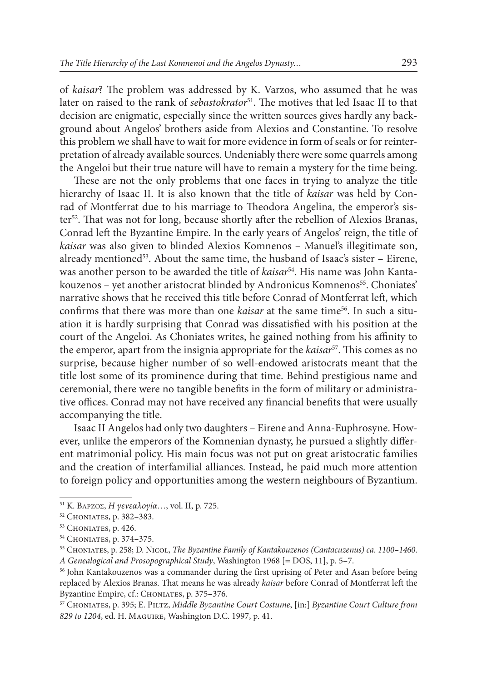of *kaisar*? The problem was addressed by K. Varzos, who assumed that he was later on raised to the rank of *sebastokrator*<sup>51</sup>. The motives that led Isaac II to that decision are enigmatic, especially since the written sources gives hardly any background about Angelos' brothers aside from Alexios and Constantine. To resolve this problem we shall have to wait for more evidence in form of seals or for reinterpretation of already available sources. Undeniably there were some quarrels among the Angeloi but their true nature will have to remain a mystery for the time being.

These are not the only problems that one faces in trying to analyze the title hierarchy of Isaac II. It is also known that the title of *kaisar* was held by Conrad of Montferrat due to his marriage to Theodora Angelina, the emperor's sister<sup>52</sup>. That was not for long, because shortly after the rebellion of Alexios Branas, Conrad left the Byzantine Empire. In the early years of Angelos' reign, the title of *kaisar* was also given to blinded Alexios Komnenos – Manuel's illegitimate son, already mentioned $53$ . About the same time, the husband of Isaac's sister – Eirene, was another person to be awarded the title of *kaisar*<sup>54</sup>. His name was John Kantakouzenos – yet another aristocrat blinded by Andronicus Komnenos<sup>55</sup>. Choniates' narrative shows that he received this title before Conrad of Montferrat left, which confirms that there was more than one *kaisar* at the same time56. In such a situation it is hardly surprising that Conrad was dissatisfied with his position at the court of the Angeloi. As Choniates writes, he gained nothing from his affinity to the emperor, apart from the insignia appropriate for the *kaisar*<sup>57</sup>. This comes as no surprise, because higher number of so well-endowed aristocrats meant that the title lost some of its prominence during that time. Behind prestigious name and ceremonial, there were no tangible benefits in the form of military or administrative offices. Conrad may not have received any financial benefits that were usually accompanying the title.

Isaac II Angelos had only two daughters – Eirene and Anna-Euphrosyne. However, unlike the emperors of the Komnenian dynasty, he pursued a slightly different matrimonial policy. His main focus was not put on great aristocratic families and the creation of interfamilial alliances. Instead, he paid much more attention to foreign policy and opportunities among the western neighbours of Byzantium.

<sup>51</sup> K. Βάρζος, *Η γενεαλογία*…, vol. II, p. 725.

<sup>52</sup> Choniates, p. 382–383.

<sup>&</sup>lt;sup>53</sup> CHONIATES, p. 426.

<sup>54</sup> Choniates, p. 374–375.

<sup>55</sup> Choniates, p. 258; D. Nicol, *The Byzantine Family of Kantakouzenos (Cantacuzenus) ca*. *1100*–*1460*. *A Genealogical and Prosopographical Study*, Washington 1968 [= DOS, 11], p. 5–7.

<sup>56</sup> John Kantakouzenos was a commander during the first uprising of Peter and Asan before being replaced by Alexios Branas. That means he was already *kaisar* before Conrad of Montferrat left the Byzantine Empire, cf.: CHONIATES, p. 375-376.

<sup>57</sup> Choniates, p. 395; E. Piltz, *Middle Byzantine Court Costume*, [in:] *Byzantine Court Culture from 829 to 1204*, ed. H. Maguire, Washington D.C. 1997, p. 41.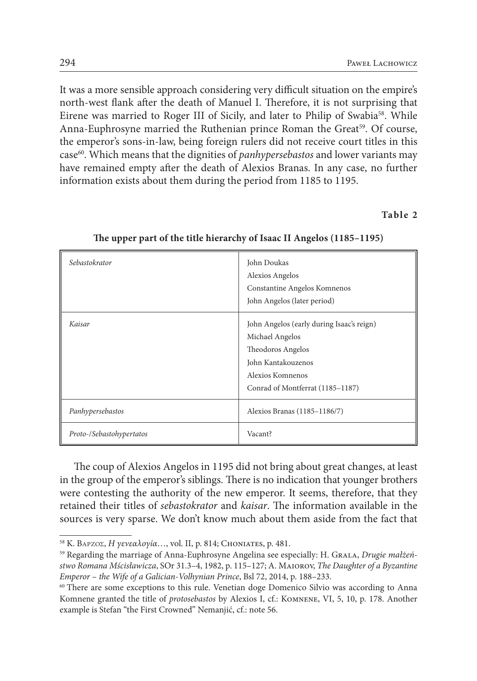It was a more sensible approach considering very difficult situation on the empire's north-west flank after the death of Manuel I. Therefore, it is not surprising that Eirene was married to Roger III of Sicily, and later to Philip of Swabia58. While Anna-Euphrosyne married the Ruthenian prince Roman the Great<sup>59</sup>. Of course, the emperor's sons-in-law, being foreign rulers did not receive court titles in this case60. Which means that the dignities of *panhypersebastos* and lower variants may have remained empty after the death of Alexios Branas. In any case, no further information exists about them during the period from 1185 to 1195.

### **Table 2**

| Sebastokrator            | John Doukas<br>Alexios Angelos<br>Constantine Angelos Komnenos<br>John Angelos (later period)                                                                   |
|--------------------------|-----------------------------------------------------------------------------------------------------------------------------------------------------------------|
| Kaisar                   | John Angelos (early during Isaac's reign)<br>Michael Angelos<br>Theodoros Angelos<br>John Kantakouzenos<br>Alexios Komnenos<br>Conrad of Montferrat (1185-1187) |
| Panhypersebastos         | Alexios Branas (1185-1186/7)                                                                                                                                    |
| Proto-/Sebastohypertatos | Vacant?                                                                                                                                                         |

**The upper part of the title hierarchy of Isaac II Angelos (1185–1195)**

The coup of Alexios Angelos in 1195 did not bring about great changes, at least in the group of the emperor's siblings. There is no indication that younger brothers were contesting the authority of the new emperor. It seems, therefore, that they retained their titles of *sebastokrator* and *kaisar*. The information available in the sources is very sparse. We don't know much about them aside from the fact that

<sup>58</sup> K. Βάρζος, *Η γενεαλογία*…, vol. II, p. 814; Choniates, p. 481.

<sup>&</sup>lt;sup>59</sup> Regarding the marriage of Anna-Euphrosyne Angelina see especially: H. GRALA, *Drugie małżeństwo Romana Mścisławicza*, SOr 31.3–4, 1982, p. 115–127; A. Maiorov, *The Daughter of a Byzantine Emperor* – *the Wife of a Galician*-*Volhynian Prince*, Bsl 72, 2014, p. 188–233.

<sup>&</sup>lt;sup>60</sup> There are some exceptions to this rule. Venetian doge Domenico Silvio was according to Anna Komnene granted the title of *protosebastos* by Alexios I, cf.: Komnene, VI, 5, 10, p. 178. Another example is Stefan "the First Crowned" Nemanjić, cf.: note 56.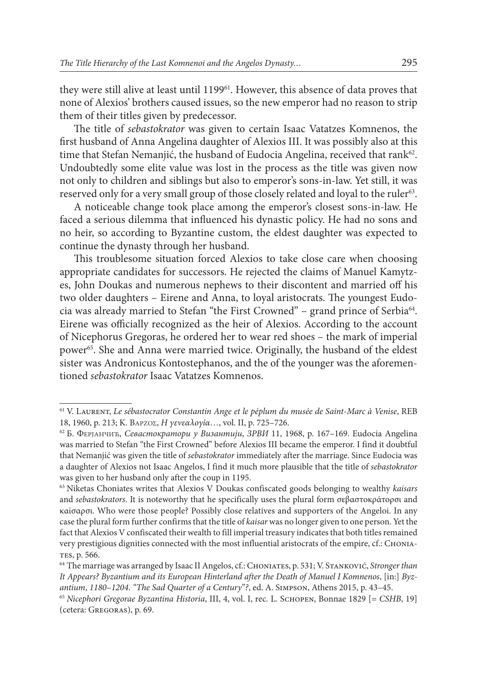they were still alive at least until 119961. However, this absence of data proves that none of Alexios' brothers caused issues, so the new emperor had no reason to strip them of their titles given by predecessor.

The title of *sebastokrator* was given to certain Isaac Vatatzes Komnenos, the first husband of Anna Angelina daughter of Alexios III. It was possibly also at this time that Stefan Nemanjić, the husband of Eudocia Angelina, received that rank<sup>62</sup>. Undoubtedly some elite value was lost in the process as the title was given now not only to children and siblings but also to emperor's sons-in-law. Yet still, it was reserved only for a very small group of those closely related and loyal to the ruler<sup>63</sup>.

A noticeable change took place among the emperor's closest sons-in-law. He faced a serious dilemma that influenced his dynastic policy. He had no sons and no heir, so according to Byzantine custom, the eldest daughter was expected to continue the dynasty through her husband.

This troublesome situation forced Alexios to take close care when choosing appropriate candidates for successors. He rejected the claims of Manuel Kamytzes, John Doukas and numerous nephews to their discontent and married off his two older daughters – Eirene and Anna, to loyal aristocrats. The youngest Eudocia was already married to Stefan "the First Crowned" – grand prince of Serbia<sup>64</sup>. Eirene was officially recognized as the heir of Alexios. According to the account of Nicephorus Gregoras, he ordered her to wear red shoes – the mark of imperial power<sup>65</sup>. She and Anna were married twice. Originally, the husband of the eldest sister was Andronicus Kontostephanos, and the of the younger was the aforementioned *sebastokrator* Isaac Vatatzes Komnenos.

<sup>61</sup> V. Laurent, *Le sébastocrator Constantin Ange et le péplum du musée de Saint*-*Marc à Venise*, REB 18, 1960, p. 213; K. Βάρζος, *Η γενεαλογία*…, vol. II, p. 725–726.

<sup>&</sup>lt;sup>62</sup> Б. Ферјанчић, *Севастократори у Византији*, *ЗРВИ* 11, 1968, p. 167-169. Eudocia Angelina was married to Stefan "the First Crowned" before Alexios III became the emperor. I find it doubtful that Nemanjić was given the title of *sebastokrator* immediately after the marriage. Since Eudocia was a daughter of Alexios not Isaac Angelos, I find it much more plausible that the title of *sebastokrator* was given to her husband only after the coup in 1195.

<sup>63</sup> Niketas Choniates writes that Alexios V Doukas confiscated goods belonging to wealthy *kaisars* and *sebastokrators*. It is noteworthy that he specifically uses the plural form σεβαστοκράτορσι and καίσαρσι. Who were those people? Possibly close relatives and supporters of the Angeloi. In any case the plural form further confirms that the title of *kaisar* was no longer given to one person. Yet the fact that Alexios V confiscated their wealth to fill imperial treasury indicates that both titles remained very prestigious dignities connected with the most influential aristocrats of the empire, cf.: Chonia-TES, p. 566.

<sup>64</sup> The marriage was arranged by Isaac II Angelos, cf.: Choniates, p. 531; V. Stanković, *Stronger than It Appears? Byzantium and its European Hinterland after the Death of Manuel I Komnenos*, [in:] *Byzantium*, *1180*–*1204*. *"The Sad Quarter of a Century*"*?*, ed. A. Simpson, Athens 2015, p. 43–45.

<sup>65</sup> *Nicephori Gregorae Byzantina Historia*, III, 4, vol. I, rec. L. Schopen, Bonnae 1829 [= *CSHB*, 19] (cetera: Gregoras), p. 69.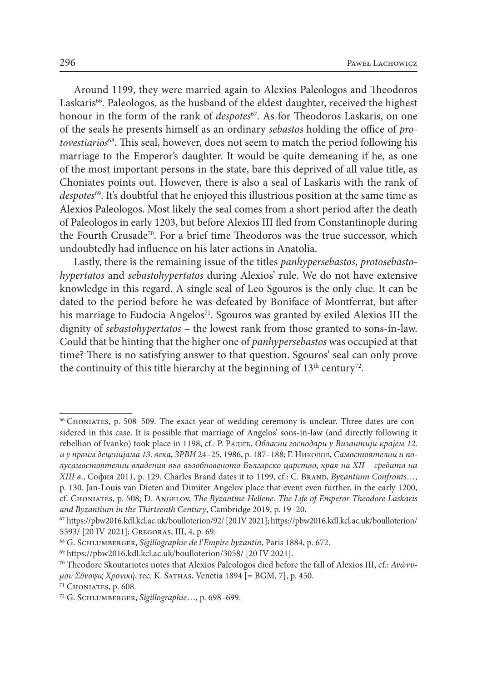Around 1199, they were married again to Alexios Paleologos and Theodoros Laskaris<sup>66</sup>. Paleologos, as the husband of the eldest daughter, received the highest honour in the form of the rank of *despotes*<sup>67</sup>. As for Theodoros Laskaris, on one of the seals he presents himself as an ordinary *sebastos* holding the office of *protovestiarios*68. This seal, however, does not seem to match the period following his marriage to the Emperor's daughter. It would be quite demeaning if he, as one of the most important persons in the state, bare this deprived of all value title, as Choniates points out. However, there is also a seal of Laskaris with the rank of *despotes*69. It's doubtful that he enjoyed this illustrious position at the same time as Alexios Paleologos. Most likely the seal comes from a short period after the death of Paleologos in early 1203, but before Alexios III fled from Constantinople during the Fourth Crusade<sup>70</sup>. For a brief time Theodoros was the true successor, which undoubtedly had influence on his later actions in Anatolia.

Lastly, there is the remaining issue of the titles *panhypersebastos*, *protosebastohypertatos* and *sebastohypertatos* during Alexios' rule. We do not have extensive knowledge in this regard. A single seal of Leo Sgouros is the only clue. It can be dated to the period before he was defeated by Boniface of Montferrat, but after his marriage to Eudocia Angelos<sup>71</sup>. Sgouros was granted by exiled Alexios III the dignity of *sebastohypertatos* – the lowest rank from those granted to sons-in-law. Could that be hinting that the higher one of *panhypersebastos* was occupied at that time? There is no satisfying answer to that question. Sgouros' seal can only prove the continuity of this title hierarchy at the beginning of  $13<sup>th</sup>$  century<sup>72</sup>.

<sup>66</sup> Choniates, p. 508–509. The exact year of wedding ceremony is unclear. Three dates are considered in this case. It is possible that marriage of Angelos' sons-in-law (and directly following it rebellion of Ivanko) took place in 1198, cf.: Р. Радић, *Обласни господари у Византији крајем 12*. *и у првим деценијама 13*. *века*, *ЗРВИ* 24–25, 1986, p. 187–188; Г. Николов, *Самостоятелни и полусамостоятелни владения във възобновеното Българско царство*, *края на XII* – *средата на XIII в*., София 2011, p. 129. Charles Brand dates it to 1199, cf.: C. Brand, *Byzantium Confronts*…, p. 130. Jan-Louis van Dieten and Dimiter Angelov place that event even further, in the early 1200,

cf. Choniates, p. 508; D. Angelov, *The Byzantine Hellene*. *The Life of Emperor Theodore Laskaris and Byzantium in the Thirteenth Century*, Cambridge 2019, p. 19–20.

<sup>67</sup> <https://pbw2016.kdl.kcl.ac.uk/boulloterion/92/>[20 IV 2021]; [https://pbw2016.kdl.kcl.ac.uk/boulloterion/](https://pbw2016.kdl.kcl.ac.uk/boulloterion/5593/) [5593/](https://pbw2016.kdl.kcl.ac.uk/boulloterion/5593/) [20 IV 2021]; Gregoras, III, 4, p. 69.

<sup>68</sup> G. Schlumberger, *Sigillographie de l*'*Empire byzantin*, Paris 1884, p. 672.

<sup>69</sup> <https://pbw2016.kdl.kcl.ac.uk/boulloterion/3058/> [20 IV 2021].

<sup>70</sup> Theodore Skoutariotes notes that Alexios Paleologos died before the fall of Alexios III, cf.: *Ανώνυμου Σύνοψις Χρονική*, rec. K. Sathas, Venetia 1894 [= BGM, 7], p. 450.

<sup>71</sup> Choniates, p. 608.

<sup>72</sup> G. Schlumberger, *Sigillographie*…, p. 698–699.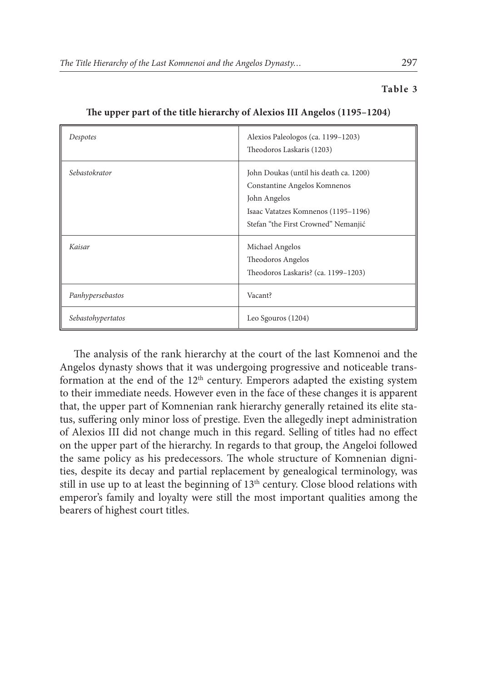### **Table 3**

| Despotes          | Alexios Paleologos (ca. 1199-1203)<br>Theodoros Laskaris (1203)                                                                                                      |
|-------------------|----------------------------------------------------------------------------------------------------------------------------------------------------------------------|
| Sebastokrator     | John Doukas (until his death ca. 1200)<br>Constantine Angelos Komnenos<br>John Angelos<br>Isaac Vatatzes Komnenos (1195–1196)<br>Stefan "the First Crowned" Nemanjić |
| Kaisar            | Michael Angelos<br>Theodoros Angelos<br>Theodoros Laskaris? (ca. 1199-1203)                                                                                          |
| Panhypersebastos  | Vacant?                                                                                                                                                              |
| Sebastohypertatos | Leo Sgouros (1204)                                                                                                                                                   |

**The upper part of the title hierarchy of Alexios III Angelos (1195–1204)**

The analysis of the rank hierarchy at the court of the last Komnenoi and the Angelos dynasty shows that it was undergoing progressive and noticeable transformation at the end of the 12<sup>th</sup> century. Emperors adapted the existing system to their immediate needs. However even in the face of these changes it is apparent that, the upper part of Komnenian rank hierarchy generally retained its elite status, suffering only minor loss of prestige. Even the allegedly inept administration of Alexios III did not change much in this regard. Selling of titles had no effect on the upper part of the hierarchy. In regards to that group, the Angeloi followed the same policy as his predecessors. The whole structure of Komnenian dignities, despite its decay and partial replacement by genealogical terminology, was still in use up to at least the beginning of  $13<sup>th</sup>$  century. Close blood relations with emperor's family and loyalty were still the most important qualities among the bearers of highest court titles.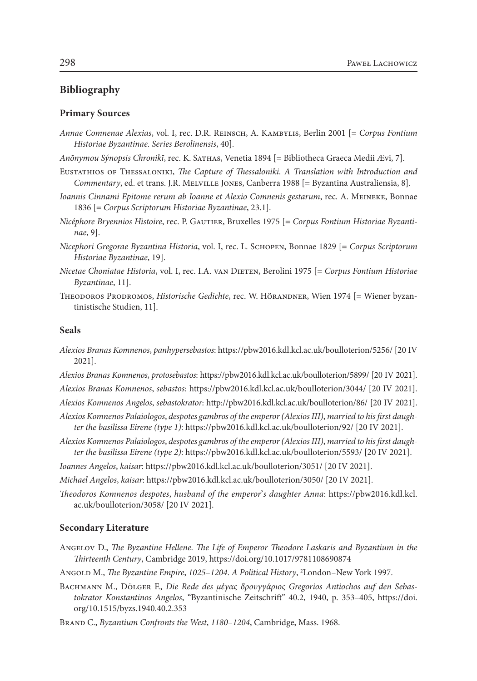# **Bibliography**

#### **Primary Sources**

- *Annae Comnenae Alexias*, vol. I, rec. D.R. Reinsch, A. Kambylis, Berlin 2001 [= *Corpus Fontium Historiae Byzantinae*. *Series Berolinensis*, 40].
- *Anōnymou Sýnopsis Chronikī*, rec. K. Sathas, Venetia 1894 [= Bibliotheca Graeca Medii Ævi, 7].
- Eustathios of Thessaloniki, *The Capture of Thessaloniki*. *A Translation with Introduction and Commentary*, ed. et trans. J.R. Melville Jones, Canberra 1988 [= Byzantina Australiensia, 8].
- *Ioannis Cinnami Epitome rerum ab Ioanne et Alexio Comnenis gestarum*, rec. A. Meineke, Bonnae 1836 [= *Corpus Scriptorum Historiae Byzantinae*, 23.1].
- *Nicéphore Bryennios Histoire*, rec. P. Gautier, Bruxelles 1975 [= *Corpus Fontium Historiae Byzantinae*, 9].
- *Nicephori Gregorae Byzantina Historia*, vol. I, rec. L. Schopen, Bonnae 1829 [= *Corpus Scriptorum Historiae Byzantinae*, 19].
- *Nicetae Choniatae Historia*, vol. I, rec. I.A. van Dieten, Berolini 1975 [= *Corpus Fontium Historiae Byzantinae*, 11].
- THEODOROS PRODROMOS, *Historische Gedichte*, rec. W. HÖRANDNER, Wien 1974 [= Wiener byzantinistische Studien, 11].

## **Seals**

- *Alexios Branas Komnenos*, *panhypersebastos*: <https://pbw2016.kdl.kcl.ac.uk/boulloterion/5256/>[20 IV 2021].
- *Alexios Branas Komnenos*, *protosebastos*: <https://pbw2016.kdl.kcl.ac.uk/boulloterion/5899/>[20 IV 2021].

*Alexios Branas Komnenos*, *sebastos*: <https://pbw2016.kdl.kcl.ac.uk/boulloterion/3044/>[20 IV 2021].

*Alexios Komnenos Angelos*, *sebastokrator*: <http://pbw2016.kdl.kcl.ac.uk/boulloterion/86/>[20 IV 2021].

- *Alexios Komnenos Palaiologos*, *despotes gambros of the emperor (Alexios III)*, *married to his first daughter the basilissa Eirene (type 1)*:<https://pbw2016.kdl.kcl.ac.uk/boulloterion/92/>[20 IV 2021].
- *Alexios Komnenos Palaiologos*, *despotes gambros of the emperor (Alexios III)*, *married to his first daughter the basilissa Eirene (type 2)*:<https://pbw2016.kdl.kcl.ac.uk/boulloterion/5593/>[20 IV 2021].
- *Ioannes Angelos*, *kaisar*:<https://pbw2016.kdl.kcl.ac.uk/boulloterion/3051/> [20 IV 2021].

*Michael Angelos*, *kaisar*:<https://pbw2016.kdl.kcl.ac.uk/boulloterion/3050/>[20 IV 2021].

*Theodoros Komnenos despotes*, *husband of the emperor*'*s daughter Anna*: [https://pbw2016.kdl.kcl.](https://pbw2016.kdl.kcl.ac.uk/boulloterion/3058/) [ac.uk/boulloterion/3058/](https://pbw2016.kdl.kcl.ac.uk/boulloterion/3058/) [20 IV 2021].

#### **Secondary Literature**

- Angelov D., *The Byzantine Hellene*. *The Life of Emperor Theodore Laskaris and Byzantium in the Thirteenth Century*, Cambridge 2019, <https://doi.org/10.1017/9781108690874>
- Angold M., *The Byzantine Empire*, *1025*–*1204*. *A Political History*, 2 London–New York 1997.
- Bachmann M., Dölger F., *Die Rede des μέγας δρουγγάριος Gregorios Antiochos auf den Sebastokrator Konstantinos Angelos*, "Byzantinische Zeitschrift" 40.2, 1940, p. 353–405, [https://doi.](https://doi.org/10.1515/byzs.1940.40.2.353) [org/10.1515/byzs.1940.40.2.353](https://doi.org/10.1515/byzs.1940.40.2.353)

Brand C., *Byzantium Confronts the West*, *1180*–*1204*, Cambridge, Mass. 1968.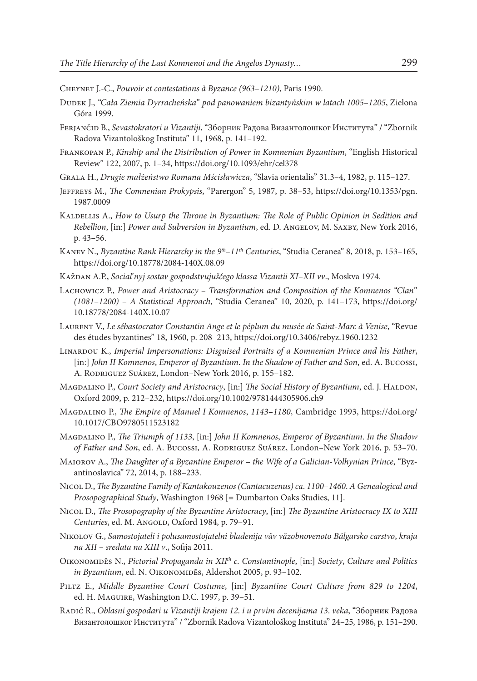- Cheynet J.-C., *Pouvoir et contestations à Byzance (963*–*1210)*, Paris 1990.
- Dudek J., *"Cała Ziemia Dyrracheńska*" *pod panowaniem bizantyńskim w latach 1005*–*1205*, Zielona Góra 1999.
- Ferjančid B., *Sevastokratori u Vizantiji*, "Зборник Радова Византолошког Института" / "Zbornik Radova Vizantološkog Instituta" 11, 1968, p. 141–192.
- Frankopan P., *Kinship and the Distribution of Power in Komnenian Byzantium*, "English Historical Review" 122, 2007, p. 1–34,<https://doi.org/10.1093/ehr/cel378>
- Grala H., *Drugie małżeństwo Romana Mścisławicza*, "Slavia orientalis" 31.3–4, 1982, p. 115–127.
- Jeffreys M., *The Comnenian Prokypsis*, "Parergon" 5, 1987, p. 38–53, [https://doi.org/10.1353/pgn.](https://doi.org/10.1353/pgn.1987.0009) [1987.0009](https://doi.org/10.1353/pgn.1987.0009)
- KALDELLIS A., *How to Usurp the Throne in Byzantium: The Role of Public Opinion in Sedition and Rebellion*, [in:] *Power and Subversion in Byzantium*, ed. D. Angelov, M. Saxby, New York 2016, p. 43–56.
- Kanev N., *Byzantine Rank Hierarchy in the 9th*–*11th Centuries*, "Studia Ceranea" 8, 2018, p. 153–165, <https://doi.org/10.18778/2084-140X.08.09>
- Každan А.P., *Social*'*nyj sostav gospodstvujuščego klassa Vizantii XI*–*XII vv*., Moskva 1974.
- Lachowicz P., *Power and Aristocracy* – *Transformation and Composition of the Komnenos "Clan*" *(1081*–*1200)* – *A Statistical Approach*, "Studia Ceranea" 10, 2020, p. 141–173, [https://doi.org/](https://doi.org/10.18778/2084-140X.10.07) [10.18778/2084-140X.10.07](https://doi.org/10.18778/2084-140X.10.07)
- Laurent V., *Le sébastocrator Constantin Ange et le péplum du musée de Saint*-*Marc à Venise*, "Revue des études byzantines" 18, 1960, p. 208–213, <https://doi.org/10.3406/rebyz.1960.1232>
- Linardou K., *Imperial Impersonations: Disguised Portraits of a Komnenian Prince and his Father*, [in:] *John II Komnenos*, *Emperor of Byzantium*. *In the Shadow of Father and Son*, ed. A. Bucossi, A. Rodriguez Suárez, London–New York 2016, p. 155–182.
- Magdalino P., *Court Society and Aristocracy*, [in:] *The Social History of Byzantium*, ed. J. Haldon, Oxford 2009, p. 212–232,<https://doi.org/10.1002/9781444305906.ch9>
- Magdalino P., *The Empire of Manuel I Komnenos*, *1143*–*1180*, Cambridge 1993, [https://doi.org/](https://doi.org/10.1017/CBO9780511523182) [10.1017/CBO9780511523182](https://doi.org/10.1017/CBO9780511523182)
- Magdalino P., *The Triumph of 1133*, [in:] *John II Komnenos*, *Emperor of Byzantium*. *In the Shadow of Father and Son*, ed. A. Bucossi, A. Rodriguez Suárez, London–New York 2016, p. 53–70.
- Maiorov A., *The Daughter of a Byzantine Emperor* – *the Wife of a Galician*-*Volhynian Prince*, "Byzantinoslavica" 72, 2014, p. 188–233.
- Nicol D., *The Byzantine Family of Kantakouzenos (Cantacuzenus) ca*. *1100*–*1460*. *A Genealogical and Prosopographical Study*, Washington 1968 [= Dumbarton Oaks Studies, 11].
- Nicol D., *The Prosopography of the Byzantine Aristocracy*, [in:] *The Byzantine Aristocracy IX to XIII*  Centuries, ed. M. AngoLD, Oxford 1984, p. 79-91.
- Nikolov G., *Samostojateli i polusamostojatelni bladenija văv văzobnovenoto Bălgarsko carstvo*, *kraja na XII* – *sredata na XIII v*., Sofija 2011.
- Oikonomidēs N., *Pictorial Propaganda in XIIth c*. *Constantinople*, [in:] *Society*, *Culture and Politics in Byzantium*, ed. N. OIKONOMIDĒS, Aldershot 2005, p. 93-102.
- Piltz E., *Middle Byzantine Court Costume*, [in:] *Byzantine Court Culture from 829 to 1204*, ed. H. Maguire, Washington D.C. 1997, p. 39–51.
- Radić R., *Oblasni gospodari u Vizantiji krajem 12*. *i u prvim decenijama 13*. *veka*, "Зборник Радова Византолошког Института" / "Zbornik Radova Vizantološkog Instituta" 24–25, 1986, p. 151–290.